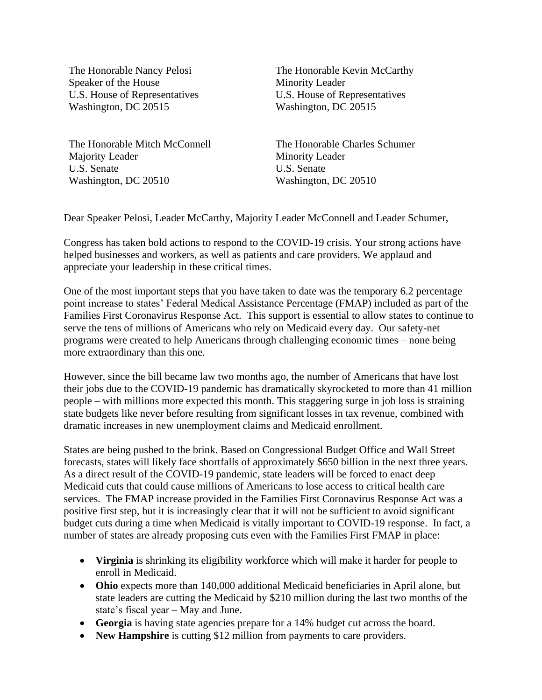The Honorable Nancy Pelosi Speaker of the House U.S. House of Representatives Washington, DC 20515

The Honorable Mitch McConnell Majority Leader U.S. Senate Washington, DC 20510

The Honorable Kevin McCarthy Minority Leader U.S. House of Representatives Washington, DC 20515

The Honorable Charles Schumer Minority Leader U.S. Senate Washington, DC 20510

Dear Speaker Pelosi, Leader McCarthy, Majority Leader McConnell and Leader Schumer,

Congress has taken bold actions to respond to the COVID-19 crisis. Your strong actions have helped businesses and workers, as well as patients and care providers. We applaud and appreciate your leadership in these critical times.

One of the most important steps that you have taken to date was the temporary 6.2 percentage point increase to states' Federal Medical Assistance Percentage (FMAP) included as part of the Families First Coronavirus Response Act. This support is essential to allow states to continue to serve the tens of millions of Americans who rely on Medicaid every day. Our safety-net programs were created to help Americans through challenging economic times – none being more extraordinary than this one.

However, since the bill became law two months ago, the number of Americans that have lost their jobs due to the COVID-19 pandemic has dramatically skyrocketed to more than 41 million people – with millions more expected this month. This staggering surge in job loss is straining state budgets like never before resulting from significant losses in tax revenue, combined with dramatic increases in new unemployment claims and Medicaid enrollment.

States are being pushed to the brink. Based on Congressional Budget Office and Wall Street forecasts, states will likely face shortfalls of approximately \$650 billion in the next three years. As a direct result of the COVID-19 pandemic, state leaders will be forced to enact deep Medicaid cuts that could cause millions of Americans to lose access to critical health care services. The FMAP increase provided in the Families First Coronavirus Response Act was a positive first step, but it is increasingly clear that it will not be sufficient to avoid significant budget cuts during a time when Medicaid is vitally important to COVID-19 response. In fact, a number of states are already proposing cuts even with the Families First FMAP in place:

- **Virginia** is shrinking its eligibility workforce which will make it harder for people to enroll in Medicaid.
- **Ohio** expects more than 140,000 additional Medicaid beneficiaries in April alone, but state leaders are cutting the Medicaid by \$210 million during the last two months of the state's fiscal year – May and June.
- **Georgia** is having state agencies prepare for a 14% budget cut across the board.
- **New Hampshire** is cutting \$12 million from payments to care providers.